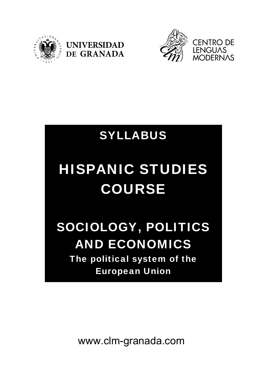





# SYLLABUS

# HISPANIC STUDIES COURSE

# SOCIOLOGY, POLITICS AND ECONOMICS The political system of the European Union

www.clm-granada.com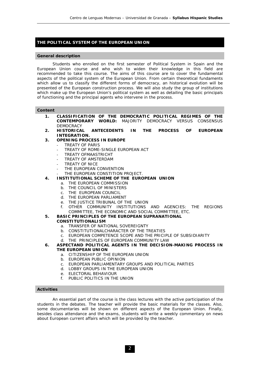# **THE POLITICAL SYSTEM OF THE EUROPEAN UNION**

#### **General description**

 Students who enrolled on the first semester of Political System in Spain and the European Union course and who wish to widen their knowledge in this field are recommended to take this course. The aims of this course are to cover the fundamental aspects of the political system of the European Union. From certain theoretical fundaments which allow us to classify the different forms of democracy, an historical evolution will be presented of the European construction process. We will also study the group of institutions which make up the European Union's political system as well as detailing the basic principals of functioning and the principal agents who intervene in the process.

#### **Content**

- **1. CLASSIFICATION OF THE DEMOCRATIC POLITICAL REGIMES OF THE CONTEMPORARY WORLD:** MAJORITY DEMOCRACY VERSUS CONSENSUS **DEMOCRACY**
- **2. HISTORICAL ANTECEDENTS IN THE PROCESS OF EUROPEAN INTEGRATION.**
- **3. OPENING PROCESS IN EUROPE** 
	- TREATY OF PARIS
	- TREATY OF ROME-SINGLE EUROPEAN ACT
	- TREATY OFMAASTRICHT
	- TREATY OF AMSTERDAM
	- TREATY OF NICE
	- THE EUROPEAN CONVENTION
	- THE EUROPEAN CONSTITION PROJECT.
- **4. INSTITUTIONAL SCHEME OF THE EUROPEAN UNION** 
	- a. THE EUROPEAN COMMISSION
	- b. THE COUNCIL OF MINISTERS
	- c. THE EUROPEAN COUNCIL
	- d. THE EUROPEAN PARLIAMENT
	- e. THE JUSTICE TRIBUNAL OF THE UNION
	- f. OTHER COMMUNITY INSTITUTIONS AND AGENCIES: THE REGIONS COMMITTEE, THE ECONOMIC AND SOCIAL COMMITTEE, ETC.
- **5. BASIC PRINCIPLES OF THE EUROPEAN SUPRANATIONAL**

## **CONSTITUTIONALISM**

- a. TRANSFER OF NATIONAL SOVEREIGNTY
- b. CONSTITUTIONALCHARACTER OF THE TREATIES
- c. EUROPEAN COMPETENCE SCOPE AND THE PRICIPLE OF SUBSIDIARITY
- d. THE PRINCIPLES OF EUROPEAN COMMUNITY LAW
- **6. ASPECTAND POLITICAL AGENTS IN THE DECISION-MAKING PROCESS IN THE EUROPEAN UNION** 
	- a. CITIZENSHIP OF THE EUROPEAN UNION
	- b. EUROPEAN PUBLIC OPINION
	- c. EUROPEAN PARLIAMENTARY GROUPS AND POLITICAL PARTIES
	- d. LOBBY GROUPS IN THE EUROPEAN UNION
	- e. ELECTORAL BEHAVIOUR
	- f. PUBLIC POLITICS IN THE UNION

## **Activities**

 An essential part of the course is the class lectures with the active participation of the students in the debates. The teacher will provide the basic materials for the classes. Also, some documentaries will be shown on different aspects of the European Union. Finally, besides class attendance and the exams, students will write a weekly commentary on news about European current affairs which will be provided by the teacher.